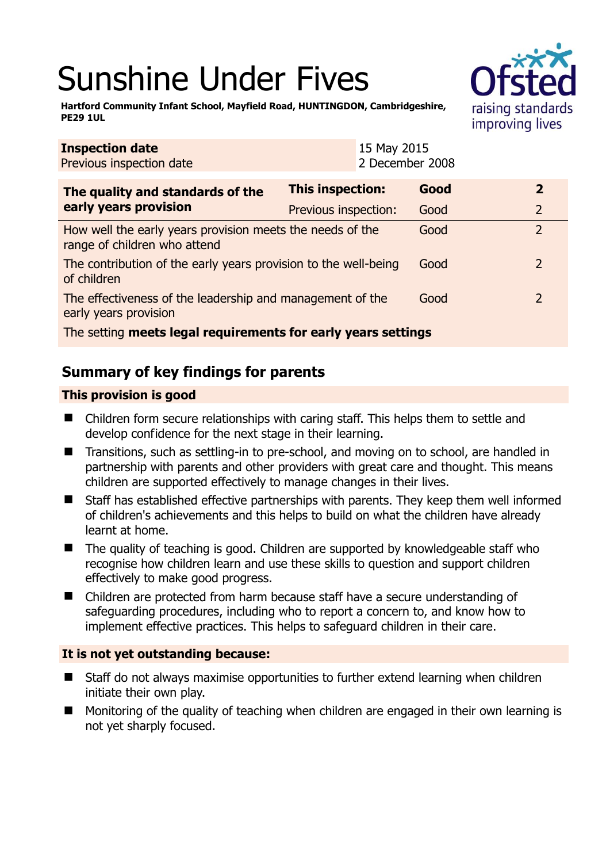# Sunshine Under Fives



**Hartford Community Infant School, Mayfield Road, HUNTINGDON, Cambridgeshire, PE29 1UL** 

| <b>Inspection date</b><br>Previous inspection date                                        |                         | 15 May 2015<br>2 December 2008 |      |                |
|-------------------------------------------------------------------------------------------|-------------------------|--------------------------------|------|----------------|
| The quality and standards of the<br>early years provision                                 | <b>This inspection:</b> |                                | Good | $\overline{2}$ |
|                                                                                           | Previous inspection:    |                                | Good | $\overline{2}$ |
| How well the early years provision meets the needs of the<br>range of children who attend |                         |                                | Good | $\overline{2}$ |
| The contribution of the early years provision to the well-being<br>of children            |                         |                                | Good | $\overline{2}$ |
| The effectiveness of the leadership and management of the<br>early years provision        |                         |                                | Good | $\mathcal{P}$  |
| The setting meets legal requirements for early years settings                             |                         |                                |      |                |

# **Summary of key findings for parents**

## **This provision is good**

- Children form secure relationships with caring staff. This helps them to settle and develop confidence for the next stage in their learning.
- Transitions, such as settling-in to pre-school, and moving on to school, are handled in partnership with parents and other providers with great care and thought. This means children are supported effectively to manage changes in their lives.
- Staff has established effective partnerships with parents. They keep them well informed of children's achievements and this helps to build on what the children have already learnt at home.
- The quality of teaching is good. Children are supported by knowledgeable staff who recognise how children learn and use these skills to question and support children effectively to make good progress.
- Children are protected from harm because staff have a secure understanding of safeguarding procedures, including who to report a concern to, and know how to implement effective practices. This helps to safeguard children in their care.

## **It is not yet outstanding because:**

- Staff do not always maximise opportunities to further extend learning when children initiate their own play.
- **Monitoring of the quality of teaching when children are engaged in their own learning is** not yet sharply focused.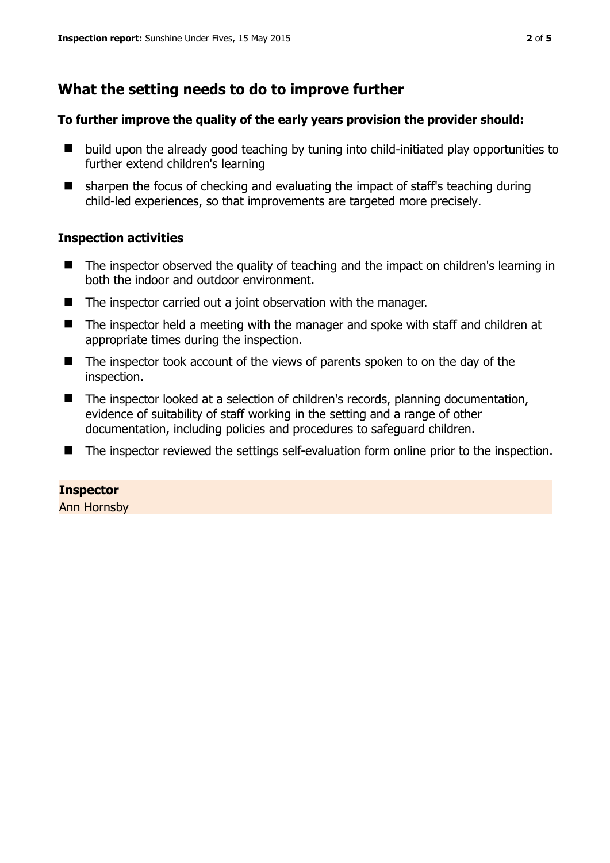# **What the setting needs to do to improve further**

#### **To further improve the quality of the early years provision the provider should:**

- $\blacksquare$  build upon the already good teaching by tuning into child-initiated play opportunities to further extend children's learning
- sharpen the focus of checking and evaluating the impact of staff's teaching during child-led experiences, so that improvements are targeted more precisely.

### **Inspection activities**

- The inspector observed the quality of teaching and the impact on children's learning in both the indoor and outdoor environment.
- The inspector carried out a joint observation with the manager.
- The inspector held a meeting with the manager and spoke with staff and children at appropriate times during the inspection.
- The inspector took account of the views of parents spoken to on the day of the inspection.
- The inspector looked at a selection of children's records, planning documentation, evidence of suitability of staff working in the setting and a range of other documentation, including policies and procedures to safeguard children.
- The inspector reviewed the settings self-evaluation form online prior to the inspection.

## **Inspector**

Ann Hornsby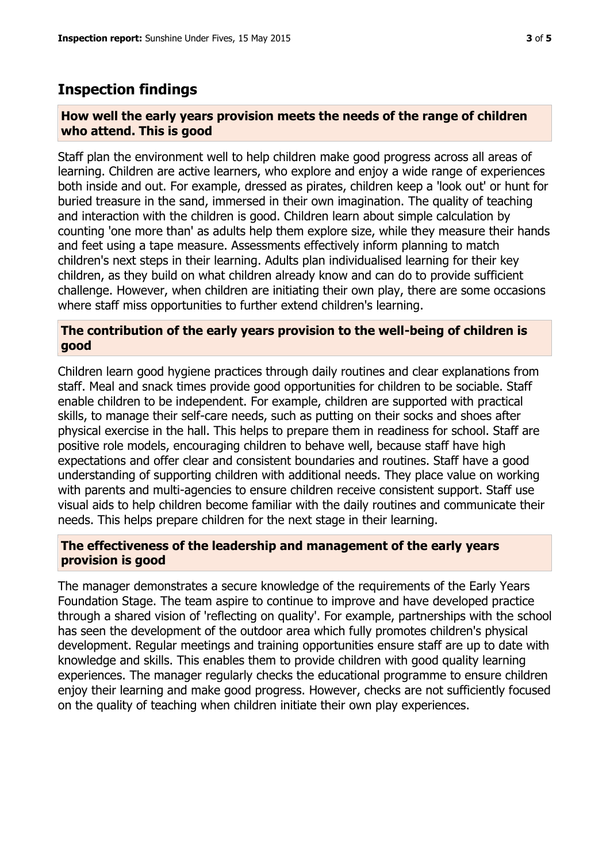# **Inspection findings**

#### **How well the early years provision meets the needs of the range of children who attend. This is good**

Staff plan the environment well to help children make good progress across all areas of learning. Children are active learners, who explore and enjoy a wide range of experiences both inside and out. For example, dressed as pirates, children keep a 'look out' or hunt for buried treasure in the sand, immersed in their own imagination. The quality of teaching and interaction with the children is good. Children learn about simple calculation by counting 'one more than' as adults help them explore size, while they measure their hands and feet using a tape measure. Assessments effectively inform planning to match children's next steps in their learning. Adults plan individualised learning for their key children, as they build on what children already know and can do to provide sufficient challenge. However, when children are initiating their own play, there are some occasions where staff miss opportunities to further extend children's learning.

### **The contribution of the early years provision to the well-being of children is good**

Children learn good hygiene practices through daily routines and clear explanations from staff. Meal and snack times provide good opportunities for children to be sociable. Staff enable children to be independent. For example, children are supported with practical skills, to manage their self-care needs, such as putting on their socks and shoes after physical exercise in the hall. This helps to prepare them in readiness for school. Staff are positive role models, encouraging children to behave well, because staff have high expectations and offer clear and consistent boundaries and routines. Staff have a good understanding of supporting children with additional needs. They place value on working with parents and multi-agencies to ensure children receive consistent support. Staff use visual aids to help children become familiar with the daily routines and communicate their needs. This helps prepare children for the next stage in their learning.

### **The effectiveness of the leadership and management of the early years provision is good**

The manager demonstrates a secure knowledge of the requirements of the Early Years Foundation Stage. The team aspire to continue to improve and have developed practice through a shared vision of 'reflecting on quality'. For example, partnerships with the school has seen the development of the outdoor area which fully promotes children's physical development. Regular meetings and training opportunities ensure staff are up to date with knowledge and skills. This enables them to provide children with good quality learning experiences. The manager regularly checks the educational programme to ensure children enjoy their learning and make good progress. However, checks are not sufficiently focused on the quality of teaching when children initiate their own play experiences.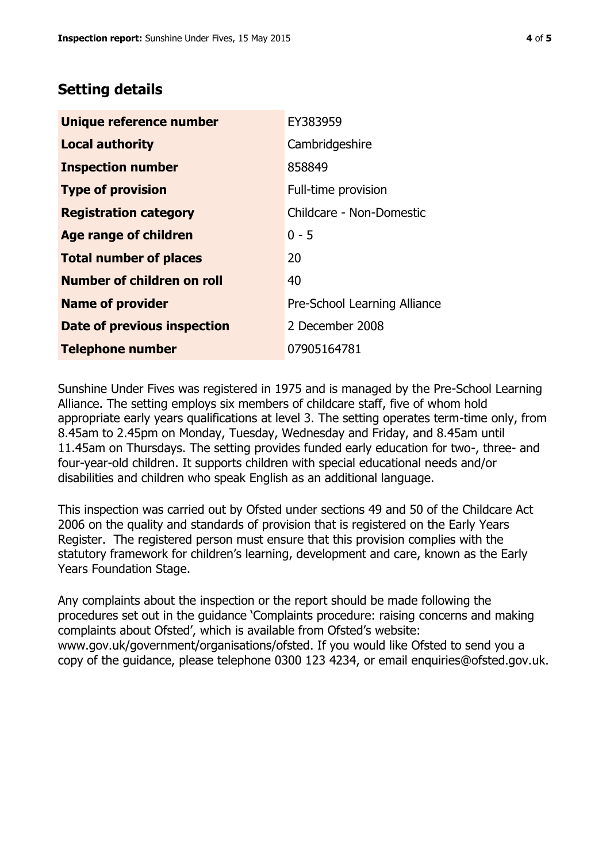# **Setting details**

| Unique reference number       | EY383959                     |  |
|-------------------------------|------------------------------|--|
| <b>Local authority</b>        | Cambridgeshire               |  |
| <b>Inspection number</b>      | 858849                       |  |
| <b>Type of provision</b>      | Full-time provision          |  |
| <b>Registration category</b>  | Childcare - Non-Domestic     |  |
| <b>Age range of children</b>  | $0 - 5$                      |  |
| <b>Total number of places</b> | 20                           |  |
| Number of children on roll    | 40                           |  |
| <b>Name of provider</b>       | Pre-School Learning Alliance |  |
| Date of previous inspection   | 2 December 2008              |  |
| <b>Telephone number</b>       | 07905164781                  |  |

Sunshine Under Fives was registered in 1975 and is managed by the Pre-School Learning Alliance. The setting employs six members of childcare staff, five of whom hold appropriate early years qualifications at level 3. The setting operates term-time only, from 8.45am to 2.45pm on Monday, Tuesday, Wednesday and Friday, and 8.45am until 11.45am on Thursdays. The setting provides funded early education for two-, three- and four-year-old children. It supports children with special educational needs and/or disabilities and children who speak English as an additional language.

This inspection was carried out by Ofsted under sections 49 and 50 of the Childcare Act 2006 on the quality and standards of provision that is registered on the Early Years Register. The registered person must ensure that this provision complies with the statutory framework for children's learning, development and care, known as the Early Years Foundation Stage.

Any complaints about the inspection or the report should be made following the procedures set out in the guidance 'Complaints procedure: raising concerns and making complaints about Ofsted', which is available from Ofsted's website: www.gov.uk/government/organisations/ofsted. If you would like Ofsted to send you a copy of the guidance, please telephone 0300 123 4234, or email enquiries@ofsted.gov.uk.